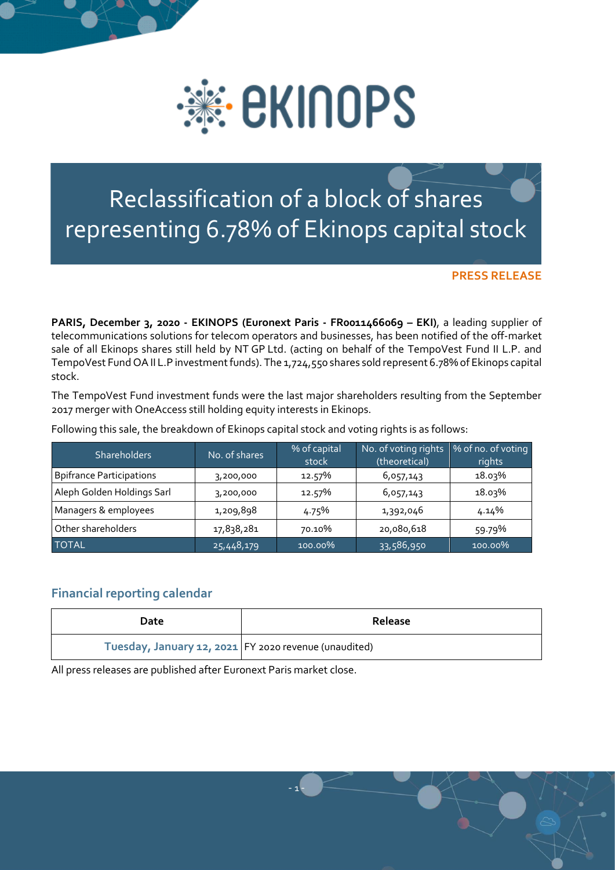

## Reclassification of a block of shares representing 6.78% of Ekinops capital stock

**PRESS RELEASE**

**PARIS, December 3, 2020 - EKINOPS (Euronext Paris - FR0011466069 – EKI)**, a leading supplier of telecommunications solutions for telecom operators and businesses, has been notified of the off-market sale of all Ekinops shares still held by NT GP Ltd. (acting on behalf of the TempoVest Fund II L.P. and TempoVest Fund OA II L.P investment funds). The 1,724,550 shares sold represent 6.78% of Ekinops capital stock.

The TempoVest Fund investment funds were the last major shareholders resulting from the September 2017 merger with OneAccess still holding equity interests in Ekinops.

| <b>Shareholders</b>             | No. of shares | % of capital<br>stock | No. of voting rights<br>(theoretical) | % of no. of voting<br>rights |
|---------------------------------|---------------|-----------------------|---------------------------------------|------------------------------|
| <b>Bpifrance Participations</b> | 3,200,000     | 12.57%                | 6,057,143                             | 18.03%                       |
| Aleph Golden Holdings Sarl      | 3,200,000     | 12.57%                | 6,057,143                             | 18.03%                       |
| Managers & employees            | 1,209,898     | 4.75%                 | 1,392,046                             | 4.14%                        |
| Other shareholders              | 17,838,281    | 70.10%                | 20,080,618                            | 59.79%                       |
| <b>TOTAL</b>                    | 25,448,179    | 100.00%               | 33,586,950                            | 100.00%                      |

Following this sale, the breakdown of Ekinops capital stock and voting rights is as follows:

## **Financial reporting calendar**

| Date                                                  | Release |
|-------------------------------------------------------|---------|
| Tuesday, January 12, 2021 FY 2020 revenue (unaudited) |         |

- 1 -

All press releases are published after Euronext Paris market close.